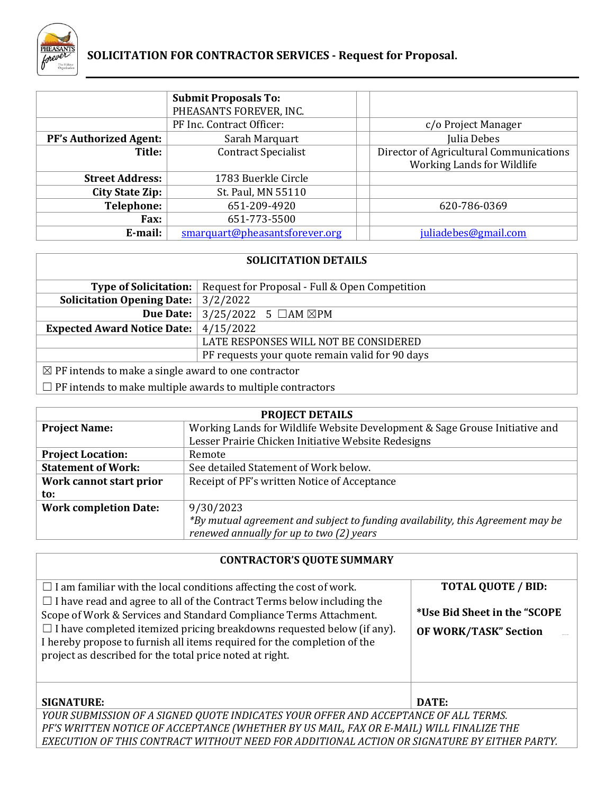

# **SOLICITATION FOR CONTRACTOR SERVICES - Request for Proposal.**

|                               | <b>Submit Proposals To:</b><br>PHEASANTS FOREVER, INC. |                                                                       |
|-------------------------------|--------------------------------------------------------|-----------------------------------------------------------------------|
|                               | PF Inc. Contract Officer:                              | c/o Project Manager                                                   |
| <b>PF's Authorized Agent:</b> | Sarah Marquart                                         | Julia Debes                                                           |
| Title:                        | <b>Contract Specialist</b>                             | Director of Agricultural Communications<br>Working Lands for Wildlife |
| <b>Street Address:</b>        | 1783 Buerkle Circle                                    |                                                                       |
| <b>City State Zip:</b>        | St. Paul, MN 55110                                     |                                                                       |
| <b>Telephone:</b>             | 651-209-4920                                           | 620-786-0369                                                          |
| <b>Fax:</b>                   | 651-773-5500                                           |                                                                       |
| E-mail:                       | smarquart@pheasantsforever.org                         | juliadebes@gmail.com                                                  |

| <b>SOLICITATION DETAILS</b>                                     |                                                 |  |  |
|-----------------------------------------------------------------|-------------------------------------------------|--|--|
| <b>Type of Solicitation:</b>                                    | Request for Proposal - Full & Open Competition  |  |  |
| <b>Solicitation Opening Date:</b>                               | 3/2/2022                                        |  |  |
| Due Date:                                                       | $3/25/2022$ 5 $\Box$ AM $\boxtimes$ PM          |  |  |
| 4/15/2022<br><b>Expected Award Notice Date:</b>                 |                                                 |  |  |
| LATE RESPONSES WILL NOT BE CONSIDERED                           |                                                 |  |  |
|                                                                 | PF requests your quote remain valid for 90 days |  |  |
| $\boxtimes$ PF intends to make a single award to one contractor |                                                 |  |  |

 $\Box$  PF intends to make multiple awards to multiple contractors

| <b>PROJECT DETAILS</b>       |                                                                                 |  |
|------------------------------|---------------------------------------------------------------------------------|--|
| <b>Project Name:</b>         | Working Lands for Wildlife Website Development & Sage Grouse Initiative and     |  |
|                              | Lesser Prairie Chicken Initiative Website Redesigns                             |  |
| <b>Project Location:</b>     | Remote                                                                          |  |
| <b>Statement of Work:</b>    | See detailed Statement of Work below.                                           |  |
| Work cannot start prior      | Receipt of PF's written Notice of Acceptance                                    |  |
| to:                          |                                                                                 |  |
| <b>Work completion Date:</b> | 9/30/2023                                                                       |  |
|                              | *By mutual agreement and subject to funding availability, this Agreement may be |  |
|                              | renewed annually for up to two (2) years                                        |  |

# **CONTRACTOR'S QUOTE SUMMARY**

| $\Box$ I am familiar with the local conditions affecting the cost of work.                                                                                                                                                                                                                                                                                                   | <b>TOTAL QUOTE / BID:</b>                                     |  |
|------------------------------------------------------------------------------------------------------------------------------------------------------------------------------------------------------------------------------------------------------------------------------------------------------------------------------------------------------------------------------|---------------------------------------------------------------|--|
| $\Box$ I have read and agree to all of the Contract Terms below including the<br>Scope of Work & Services and Standard Compliance Terms Attachment.<br>$\Box$ I have completed itemized pricing breakdowns requested below (if any).<br>I hereby propose to furnish all items required for the completion of the<br>project as described for the total price noted at right. | *Use Bid Sheet in the "SCOPE"<br><b>OF WORK/TASK" Section</b> |  |
| <b>SIGNATURE:</b>                                                                                                                                                                                                                                                                                                                                                            | DATE:                                                         |  |
| YOUR SUBMISSION OF A SIGNED QUOTE INDICATES YOUR OFFER AND ACCEPTANCE OF ALL TERMS.                                                                                                                                                                                                                                                                                          |                                                               |  |
| PF'S WRITTEN NOTICE OF ACCEPTANCE (WHETHER BY US MAIL, FAX OR E-MAIL) WILL FINALIZE THE                                                                                                                                                                                                                                                                                      |                                                               |  |
| EXECUTION OF THIS CONTRACT WITHOUT NEED FOR ADDITIONAL ACTION OR SIGNATURE BY EITHER PARTY.                                                                                                                                                                                                                                                                                  |                                                               |  |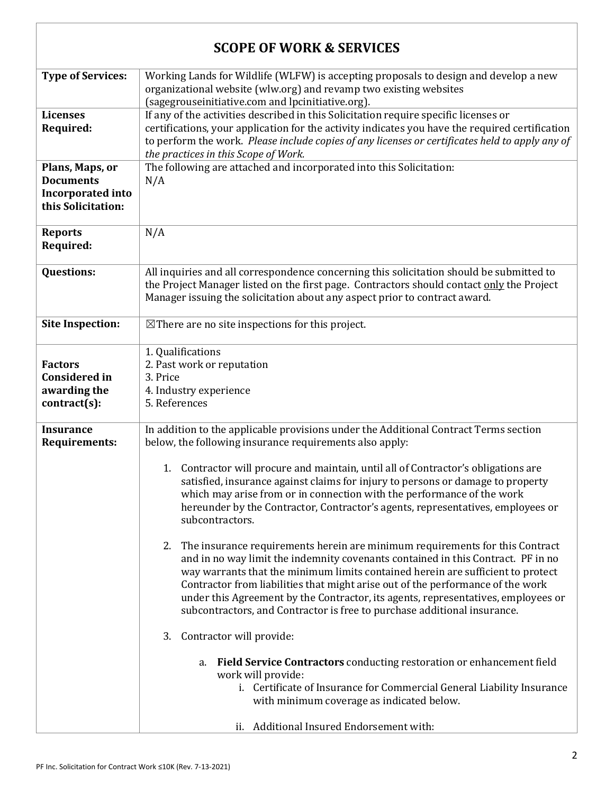| <b>SCOPE OF WORK &amp; SERVICES</b>                                                   |                                                                                                                                                                                                                                                                                                                                                                                                                                                                                                            |  |
|---------------------------------------------------------------------------------------|------------------------------------------------------------------------------------------------------------------------------------------------------------------------------------------------------------------------------------------------------------------------------------------------------------------------------------------------------------------------------------------------------------------------------------------------------------------------------------------------------------|--|
| <b>Type of Services:</b>                                                              | Working Lands for Wildlife (WLFW) is accepting proposals to design and develop a new<br>organizational website (wlw.org) and revamp two existing websites<br>(sagegrouseinitiative.com and lpcinitiative.org).                                                                                                                                                                                                                                                                                             |  |
| <b>Licenses</b><br>Required:                                                          | If any of the activities described in this Solicitation require specific licenses or<br>certifications, your application for the activity indicates you have the required certification<br>to perform the work. Please include copies of any licenses or certificates held to apply any of<br>the practices in this Scope of Work.                                                                                                                                                                         |  |
| Plans, Maps, or<br><b>Documents</b><br><b>Incorporated into</b><br>this Solicitation: | The following are attached and incorporated into this Solicitation:<br>N/A                                                                                                                                                                                                                                                                                                                                                                                                                                 |  |
| <b>Reports</b><br>Required:                                                           | N/A                                                                                                                                                                                                                                                                                                                                                                                                                                                                                                        |  |
| <b>Questions:</b>                                                                     | All inquiries and all correspondence concerning this solicitation should be submitted to<br>the Project Manager listed on the first page. Contractors should contact only the Project<br>Manager issuing the solicitation about any aspect prior to contract award.                                                                                                                                                                                                                                        |  |
| <b>Site Inspection:</b>                                                               | $\boxtimes$ There are no site inspections for this project.                                                                                                                                                                                                                                                                                                                                                                                                                                                |  |
| <b>Factors</b><br><b>Considered in</b><br>awarding the<br>$contract(s)$ :             | 1. Qualifications<br>2. Past work or reputation<br>3. Price<br>4. Industry experience<br>5. References                                                                                                                                                                                                                                                                                                                                                                                                     |  |
| <b>Insurance</b><br><b>Requirements:</b>                                              | In addition to the applicable provisions under the Additional Contract Terms section<br>below, the following insurance requirements also apply:                                                                                                                                                                                                                                                                                                                                                            |  |
|                                                                                       | 1. Contractor will procure and maintain, until all of Contractor's obligations are<br>satisfied, insurance against claims for injury to persons or damage to property<br>which may arise from or in connection with the performance of the work<br>hereunder by the Contractor, Contractor's agents, representatives, employees or<br>subcontractors.                                                                                                                                                      |  |
|                                                                                       | 2. The insurance requirements herein are minimum requirements for this Contract<br>and in no way limit the indemnity covenants contained in this Contract. PF in no<br>way warrants that the minimum limits contained herein are sufficient to protect<br>Contractor from liabilities that might arise out of the performance of the work<br>under this Agreement by the Contractor, its agents, representatives, employees or<br>subcontractors, and Contractor is free to purchase additional insurance. |  |
|                                                                                       | Contractor will provide:<br>3.                                                                                                                                                                                                                                                                                                                                                                                                                                                                             |  |
|                                                                                       | Field Service Contractors conducting restoration or enhancement field<br>a.<br>work will provide:<br>i. Certificate of Insurance for Commercial General Liability Insurance<br>with minimum coverage as indicated below.                                                                                                                                                                                                                                                                                   |  |
|                                                                                       | ii. Additional Insured Endorsement with:                                                                                                                                                                                                                                                                                                                                                                                                                                                                   |  |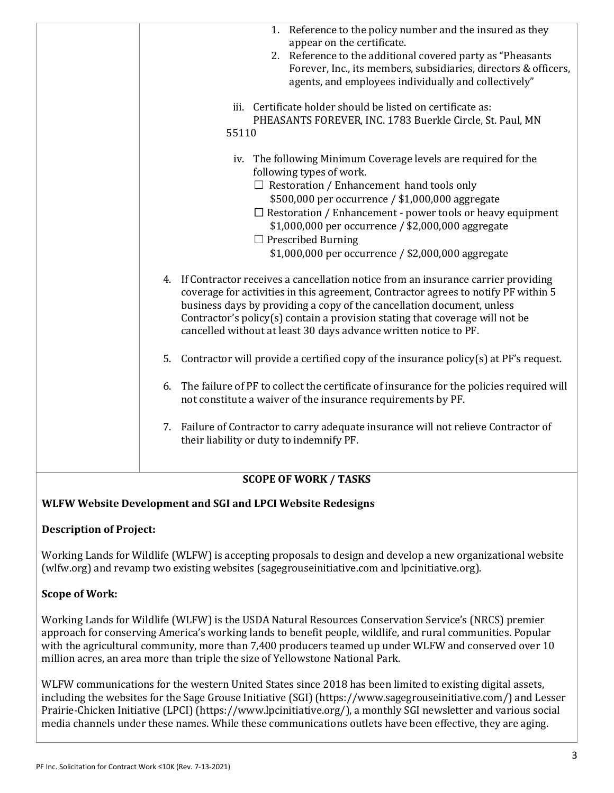| 1. Reference to the policy number and the insured as they                                                                                                                                                                                                                                                                                                                                               |
|---------------------------------------------------------------------------------------------------------------------------------------------------------------------------------------------------------------------------------------------------------------------------------------------------------------------------------------------------------------------------------------------------------|
| appear on the certificate.<br>2. Reference to the additional covered party as "Pheasants"                                                                                                                                                                                                                                                                                                               |
| Forever, Inc., its members, subsidiaries, directors & officers,                                                                                                                                                                                                                                                                                                                                         |
| agents, and employees individually and collectively"                                                                                                                                                                                                                                                                                                                                                    |
|                                                                                                                                                                                                                                                                                                                                                                                                         |
| iii. Certificate holder should be listed on certificate as:                                                                                                                                                                                                                                                                                                                                             |
| PHEASANTS FOREVER, INC. 1783 Buerkle Circle, St. Paul, MN                                                                                                                                                                                                                                                                                                                                               |
| 55110                                                                                                                                                                                                                                                                                                                                                                                                   |
| iv. The following Minimum Coverage levels are required for the<br>following types of work.                                                                                                                                                                                                                                                                                                              |
| $\Box$ Restoration / Enhancement hand tools only                                                                                                                                                                                                                                                                                                                                                        |
| \$500,000 per occurrence / \$1,000,000 aggregate                                                                                                                                                                                                                                                                                                                                                        |
| $\Box$ Restoration / Enhancement - power tools or heavy equipment                                                                                                                                                                                                                                                                                                                                       |
| \$1,000,000 per occurrence / \$2,000,000 aggregate                                                                                                                                                                                                                                                                                                                                                      |
| $\Box$ Prescribed Burning                                                                                                                                                                                                                                                                                                                                                                               |
| \$1,000,000 per occurrence / \$2,000,000 aggregate                                                                                                                                                                                                                                                                                                                                                      |
| 4. If Contractor receives a cancellation notice from an insurance carrier providing<br>coverage for activities in this agreement, Contractor agrees to notify PF within 5<br>business days by providing a copy of the cancellation document, unless<br>Contractor's policy(s) contain a provision stating that coverage will not be<br>cancelled without at least 30 days advance written notice to PF. |
| Contractor will provide a certified copy of the insurance policy(s) at PF's request.<br>5.                                                                                                                                                                                                                                                                                                              |
| The failure of PF to collect the certificate of insurance for the policies required will<br>6.<br>not constitute a waiver of the insurance requirements by PF.                                                                                                                                                                                                                                          |
| Failure of Contractor to carry adequate insurance will not relieve Contractor of<br>7.<br>their liability or duty to indemnify PF.                                                                                                                                                                                                                                                                      |
|                                                                                                                                                                                                                                                                                                                                                                                                         |
| <b>SCOPE OF WORK / TASKS</b>                                                                                                                                                                                                                                                                                                                                                                            |

# **WLFW Website Development and SGI and LPCI Website Redesigns**

#### **Description of Project:**

Working Lands for Wildlife (WLFW) is accepting proposals to design and develop a new organizational website (wlfw.org) and revamp two existing websites (sagegrouseinitiative.com and lpcinitiative.org).

# **Scope of Work:**

Working Lands for Wildlife (WLFW) is the USDA Natural Resources Conservation Service's (NRCS) premier approach for conserving America's working lands to benefit people, wildlife, and rural communities. Popular with the agricultural community, more than 7,400 producers teamed up under WLFW and conserved over 10 million acres, an area more than triple the size of Yellowstone National Park.

WLFW communications for the western United States since 2018 has been limited to existing digital assets, including the websites for the Sage Grouse Initiative (SGI) (https://www.sagegrouseinitiative.com/) and Lesser Prairie-Chicken Initiative (LPCI) (https://www.lpcinitiative.org/), a monthly SGI newsletter and various social media channels under these names. While these communications outlets have been effective, they are aging.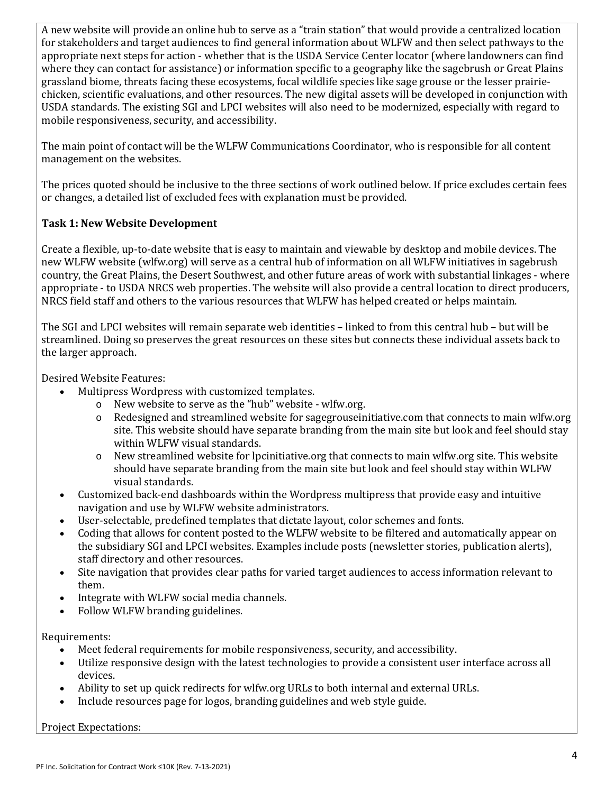A new website will provide an online hub to serve as a "train station" that would provide a centralized location for stakeholders and target audiences to find general information about WLFW and then select pathways to the appropriate next steps for action - whether that is the USDA Service Center locator (where landowners can find where they can contact for assistance) or information specific to a geography like the sagebrush or Great Plains grassland biome, threats facing these ecosystems, focal wildlife species like sage grouse or the lesser prairiechicken, scientific evaluations, and other resources. The new digital assets will be developed in conjunction with USDA standards. The existing SGI and LPCI websites will also need to be modernized, especially with regard to mobile responsiveness, security, and accessibility.

The main point of contact will be the WLFW Communications Coordinator, who is responsible for all content management on the websites.

The prices quoted should be inclusive to the three sections of work outlined below. If price excludes certain fees or changes, a detailed list of excluded fees with explanation must be provided.

# **Task 1: New Website Development**

Create a flexible, up-to-date website that is easy to maintain and viewable by desktop and mobile devices. The new WLFW website (wlfw.org) will serve as a central hub of information on all WLFW initiatives in sagebrush country, the Great Plains, the Desert Southwest, and other future areas of work with substantial linkages - where appropriate - to USDA NRCS web properties. The website will also provide a central location to direct producers, NRCS field staff and others to the various resources that WLFW has helped created or helps maintain.

The SGI and LPCI websites will remain separate web identities – linked to from this central hub – but will be streamlined. Doing so preserves the great resources on these sites but connects these individual assets back to the larger approach.

Desired Website Features:

- Multipress Wordpress with customized templates.
	- o New website to serve as the "hub" website wlfw.org.<br>
	o Redesigned and streamlined website for sagegrousein
	- Redesigned and streamlined website for sagegrouseinitiative.com that connects to main wlfw.org site. This website should have separate branding from the main site but look and feel should stay within WLFW visual standards.
	- o New streamlined website for lpcinitiative.org that connects to main wlfw.org site. This website should have separate branding from the main site but look and feel should stay within WLFW visual standards.
- Customized back-end dashboards within the Wordpress multipress that provide easy and intuitive navigation and use by WLFW website administrators.
- User-selectable, predefined templates that dictate layout, color schemes and fonts.
- Coding that allows for content posted to the WLFW website to be filtered and automatically appear on the subsidiary SGI and LPCI websites. Examples include posts (newsletter stories, publication alerts), staff directory and other resources.
- Site navigation that provides clear paths for varied target audiences to access information relevant to them.
- Integrate with WLFW social media channels.
- Follow WLFW branding guidelines.

#### Requirements:

- Meet federal requirements for mobile responsiveness, security, and accessibility.
- Utilize responsive design with the latest technologies to provide a consistent user interface across all devices.
- Ability to set up quick redirects for wlfw.org URLs to both internal and external URLs.
- Include resources page for logos, branding guidelines and web style guide.

Project Expectations: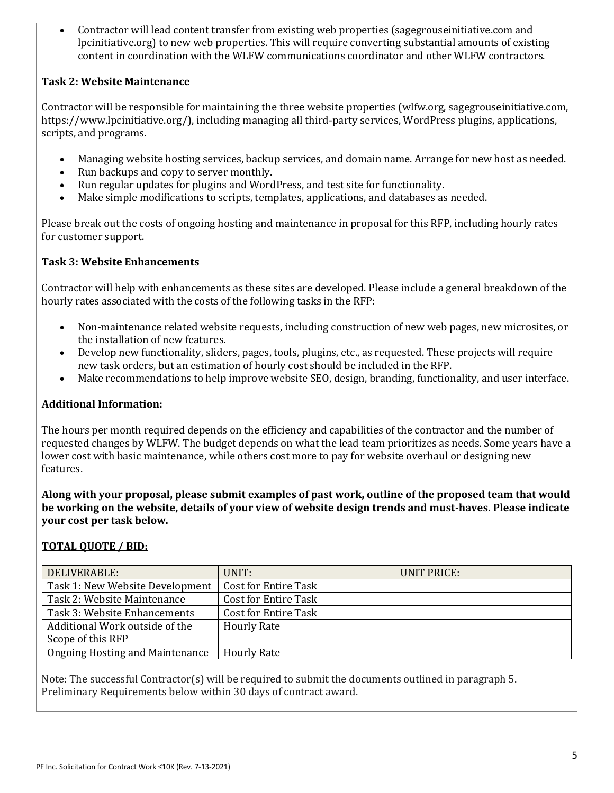• Contractor will lead content transfer from existing web properties (sagegrouseinitiative.com and lpcinitiative.org) to new web properties. This will require converting substantial amounts of existing content in coordination with the WLFW communications coordinator and other WLFW contractors.

#### **Task 2: Website Maintenance**

Contractor will be responsible for maintaining the three website properties (wlfw.org, sagegrouseinitiative.com, https://www.lpcinitiative.org/), including managing all third-party services, WordPress plugins, applications, scripts, and programs.

- Managing website hosting services, backup services, and domain name. Arrange for new host as needed.
- Run backups and copy to server monthly.
- Run regular updates for plugins and WordPress, and test site for functionality.
- Make simple modifications to scripts, templates, applications, and databases as needed.

Please break out the costs of ongoing hosting and maintenance in proposal for this RFP, including hourly rates for customer support.

#### **Task 3: Website Enhancements**

Contractor will help with enhancements as these sites are developed. Please include a general breakdown of the hourly rates associated with the costs of the following tasks in the RFP:

- Non-maintenance related website requests, including construction of new web pages, new microsites, or the installation of new features.
- Develop new functionality, sliders, pages, tools, plugins, etc., as requested. These projects will require new task orders, but an estimation of hourly cost should be included in the RFP.
- Make recommendations to help improve website SEO, design, branding, functionality, and user interface.

#### **Additional Information:**

The hours per month required depends on the efficiency and capabilities of the contractor and the number of requested changes by WLFW. The budget depends on what the lead team prioritizes as needs. Some years have a lower cost with basic maintenance, while others cost more to pay for website overhaul or designing new features.

**Along with your proposal, please submit examples of past work, outline of the proposed team that would be working on the website, details of your view of website design trends and must-haves. Please indicate your cost per task below.** 

#### **TOTAL QUOTE / BID:**

| DELIVERABLE:                    | UNIT:                       | UNIT PRICE: |
|---------------------------------|-----------------------------|-------------|
| Task 1: New Website Development | <b>Cost for Entire Task</b> |             |
| Task 2: Website Maintenance     | <b>Cost for Entire Task</b> |             |
| Task 3: Website Enhancements    | <b>Cost for Entire Task</b> |             |
| Additional Work outside of the  | <b>Hourly Rate</b>          |             |
| Scope of this RFP               |                             |             |
| Ongoing Hosting and Maintenance | <b>Hourly Rate</b>          |             |

Note: The successful Contractor(s) will be required to submit the documents outlined in paragraph 5. Preliminary Requirements below within 30 days of contract award.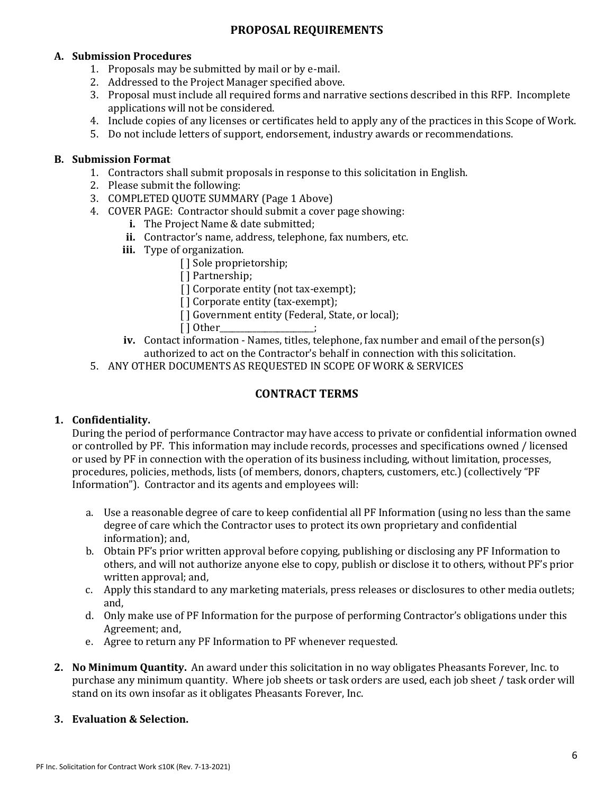# **PROPOSAL REQUIREMENTS**

#### **A. Submission Procedures**

- 1. Proposals may be submitted by mail or by e-mail.
- 2. Addressed to the Project Manager specified above.
- 3. Proposal must include all required forms and narrative sections described in this RFP. Incomplete applications will not be considered.
- 4. Include copies of any licenses or certificates held to apply any of the practices in this Scope of Work.
- 5. Do not include letters of support, endorsement, industry awards or recommendations.

#### **B. Submission Format**

- 1. Contractors shall submit proposals in response to this solicitation in English.
- 2. Please submit the following:
- 3. COMPLETED QUOTE SUMMARY (Page 1 Above)
- 4. COVER PAGE: Contractor should submit a cover page showing:
	- **i.** The Project Name & date submitted;
	- **ii.** Contractor's name, address, telephone, fax numbers, etc.
	- **iii.** Type of organization.
		- [] Sole proprietorship;
		- [ ] Partnership;
		- [] Corporate entity (not tax-exempt);
		- [] Corporate entity (tax-exempt);
		- [] Government entity (Federal, State, or local);<br>[] Other :
		- [ ] Other\_\_\_\_\_\_\_\_\_\_\_\_\_\_\_\_\_\_\_\_\_\_\_;
	- **iv.** Contact information Names, titles, telephone, fax number and email of the person(s) authorized to act on the Contractor's behalf in connection with this solicitation.
- 5. ANY OTHER DOCUMENTS AS REQUESTED IN SCOPE OF WORK & SERVICES

# **CONTRACT TERMS**

# **1. Confidentiality.**

During the period of performance Contractor may have access to private or confidential information owned or controlled by PF. This information may include records, processes and specifications owned / licensed or used by PF in connection with the operation of its business including, without limitation, processes, procedures, policies, methods, lists (of members, donors, chapters, customers, etc.) (collectively "PF Information"). Contractor and its agents and employees will:

- a. Use a reasonable degree of care to keep confidential all PF Information (using no less than the same degree of care which the Contractor uses to protect its own proprietary and confidential information); and,
- b. Obtain PF's prior written approval before copying, publishing or disclosing any PF Information to others, and will not authorize anyone else to copy, publish or disclose it to others, without PF's prior written approval; and,
- c. Apply this standard to any marketing materials, press releases or disclosures to other media outlets; and,
- d. Only make use of PF Information for the purpose of performing Contractor's obligations under this Agreement; and,
- e. Agree to return any PF Information to PF whenever requested.
- **2. No Minimum Quantity.** An award under this solicitation in no way obligates Pheasants Forever, Inc. to purchase any minimum quantity. Where job sheets or task orders are used, each job sheet / task order will stand on its own insofar as it obligates Pheasants Forever, Inc.

# **3. Evaluation & Selection.**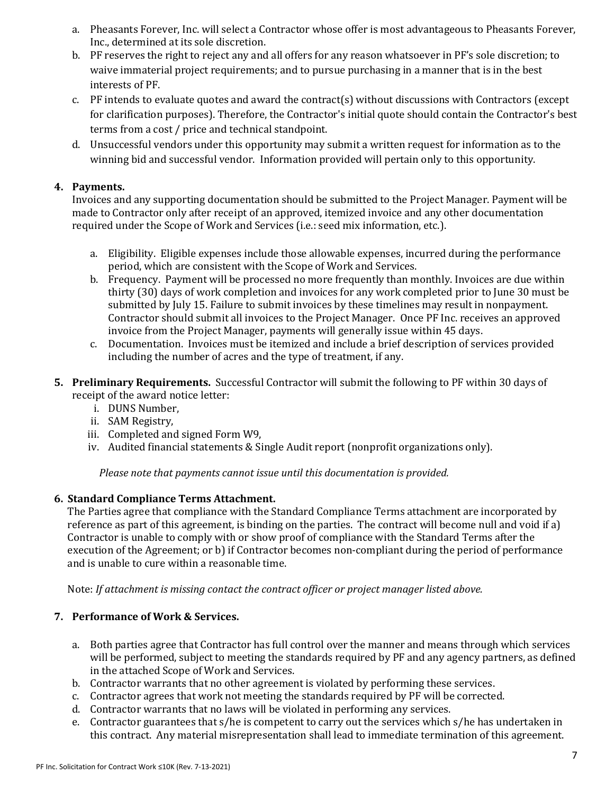- a. Pheasants Forever, Inc. will select a Contractor whose offer is most advantageous to Pheasants Forever, Inc., determined at its sole discretion.
- b. PF reserves the right to reject any and all offers for any reason whatsoever in PF's sole discretion; to waive immaterial project requirements; and to pursue purchasing in a manner that is in the best interests of PF.
- c. PF intends to evaluate quotes and award the contract(s) without discussions with Contractors (except for clarification purposes). Therefore, the Contractor's initial quote should contain the Contractor's best terms from a cost / price and technical standpoint.
- d. Unsuccessful vendors under this opportunity may submit a written request for information as to the winning bid and successful vendor. Information provided will pertain only to this opportunity.

### **4. Payments.**

Invoices and any supporting documentation should be submitted to the Project Manager. Payment will be made to Contractor only after receipt of an approved, itemized invoice and any other documentation required under the Scope of Work and Services (i.e.: seed mix information, etc.).

- a. Eligibility. Eligible expenses include those allowable expenses, incurred during the performance period, which are consistent with the Scope of Work and Services.
- b. Frequency. Payment will be processed no more frequently than monthly. Invoices are due within thirty (30) days of work completion and invoices for any work completed prior to June 30 must be submitted by July 15. Failure to submit invoices by these timelines may result in nonpayment. Contractor should submit all invoices to the Project Manager. Once PF Inc. receives an approved invoice from the Project Manager, payments will generally issue within 45 days.
- c. Documentation. Invoices must be itemized and include a brief description of services provided including the number of acres and the type of treatment, if any.
- **5. Preliminary Requirements.** Successful Contractor will submit the following to PF within 30 days of receipt of the award notice letter:
	- i. DUNS Number,
	- ii. SAM Registry,
	- iii. Completed and signed Form W9,
	- iv. Audited financial statements & Single Audit report (nonprofit organizations only).

*Please note that payments cannot issue until this documentation is provided.*

# **6. Standard Compliance Terms Attachment.**

The Parties agree that compliance with the Standard Compliance Terms attachment are incorporated by reference as part of this agreement, is binding on the parties. The contract will become null and void if a) Contractor is unable to comply with or show proof of compliance with the Standard Terms after the execution of the Agreement; or b) if Contractor becomes non-compliant during the period of performance and is unable to cure within a reasonable time.

Note: *If attachment is missing contact the contract officer or project manager listed above.*

# **7. Performance of Work & Services.**

- a. Both parties agree that Contractor has full control over the manner and means through which services will be performed, subject to meeting the standards required by PF and any agency partners, as defined in the attached Scope of Work and Services.
- b. Contractor warrants that no other agreement is violated by performing these services.
- c. Contractor agrees that work not meeting the standards required by PF will be corrected.
- d. Contractor warrants that no laws will be violated in performing any services.
- e. Contractor guarantees that s/he is competent to carry out the services which s/he has undertaken in this contract. Any material misrepresentation shall lead to immediate termination of this agreement.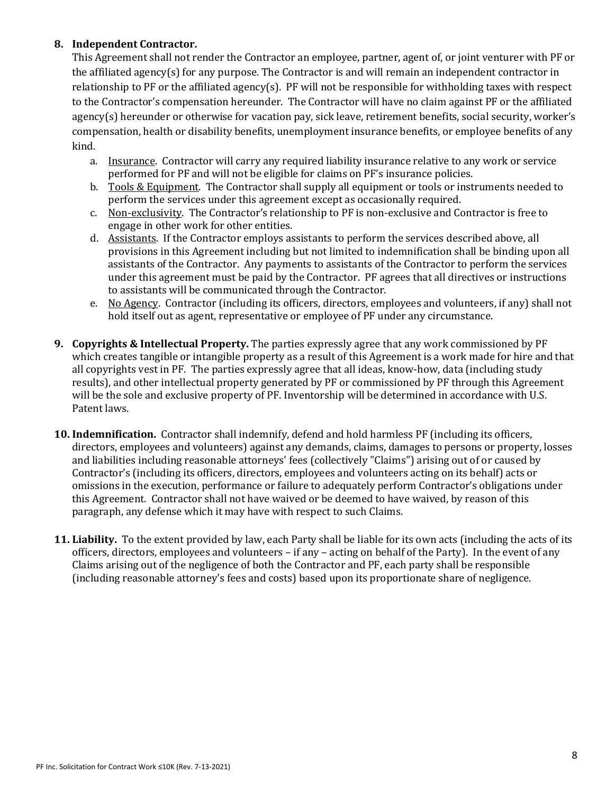### **8. Independent Contractor.**

This Agreement shall not render the Contractor an employee, partner, agent of, or joint venturer with PF or the affiliated agency(s) for any purpose. The Contractor is and will remain an independent contractor in relationship to PF or the affiliated agency(s). PF will not be responsible for withholding taxes with respect to the Contractor's compensation hereunder. The Contractor will have no claim against PF or the affiliated agency(s) hereunder or otherwise for vacation pay, sick leave, retirement benefits, social security, worker's compensation, health or disability benefits, unemployment insurance benefits, or employee benefits of any kind.

- a. Insurance. Contractor will carry any required liability insurance relative to any work or service performed for PF and will not be eligible for claims on PF's insurance policies.
- b. Tools  $&$  Equipment. The Contractor shall supply all equipment or tools or instruments needed to perform the services under this agreement except as occasionally required.
- c. Non-exclusivity. The Contractor's relationship to PF is non-exclusive and Contractor is free to engage in other work for other entities.
- d. Assistants. If the Contractor employs assistants to perform the services described above, all provisions in this Agreement including but not limited to indemnification shall be binding upon all assistants of the Contractor. Any payments to assistants of the Contractor to perform the services under this agreement must be paid by the Contractor. PF agrees that all directives or instructions to assistants will be communicated through the Contractor.
- e. No Agency. Contractor (including its officers, directors, employees and volunteers, if any) shall not hold itself out as agent, representative or employee of PF under any circumstance.
- **9. Copyrights & Intellectual Property.** The parties expressly agree that any work commissioned by PF which creates tangible or intangible property as a result of this Agreement is a work made for hire and that all copyrights vest in PF. The parties expressly agree that all ideas, know-how, data (including study results), and other intellectual property generated by PF or commissioned by PF through this Agreement will be the sole and exclusive property of PF. Inventorship will be determined in accordance with U.S. Patent laws.
- **10. Indemnification.** Contractor shall indemnify, defend and hold harmless PF (including its officers, directors, employees and volunteers) against any demands, claims, damages to persons or property, losses and liabilities including reasonable attorneys' fees (collectively "Claims") arising out of or caused by Contractor's (including its officers, directors, employees and volunteers acting on its behalf) acts or omissions in the execution, performance or failure to adequately perform Contractor's obligations under this Agreement. Contractor shall not have waived or be deemed to have waived, by reason of this paragraph, any defense which it may have with respect to such Claims.
- **11. Liability.** To the extent provided by law, each Party shall be liable for its own acts (including the acts of its officers, directors, employees and volunteers – if any – acting on behalf of the Party). In the event of any Claims arising out of the negligence of both the Contractor and PF, each party shall be responsible (including reasonable attorney's fees and costs) based upon its proportionate share of negligence.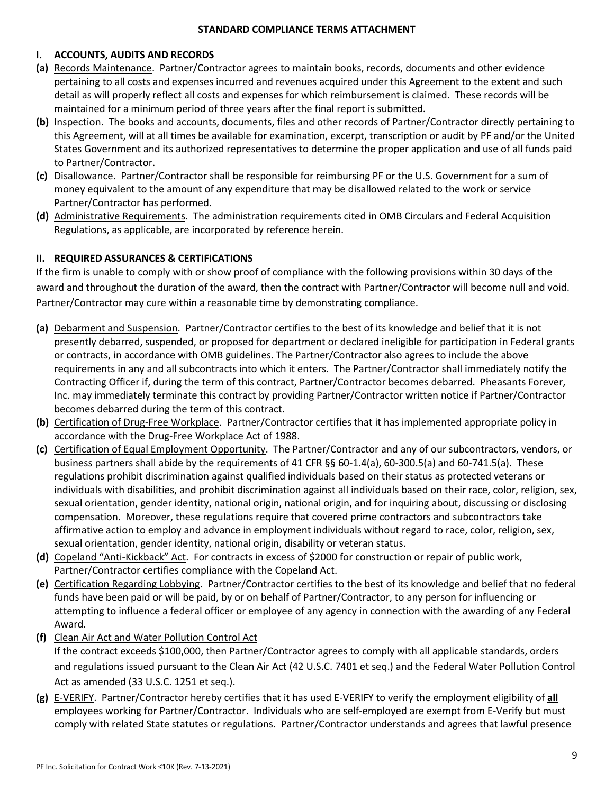#### **STANDARD COMPLIANCE TERMS ATTACHMENT**

#### **I. ACCOUNTS, AUDITS AND RECORDS**

- **(a)** Records Maintenance. Partner/Contractor agrees to maintain books, records, documents and other evidence pertaining to all costs and expenses incurred and revenues acquired under this Agreement to the extent and such detail as will properly reflect all costs and expenses for which reimbursement is claimed. These records will be maintained for a minimum period of three years after the final report is submitted.
- **(b)** Inspection. The books and accounts, documents, files and other records of Partner/Contractor directly pertaining to this Agreement, will at all times be available for examination, excerpt, transcription or audit by PF and/or the United States Government and its authorized representatives to determine the proper application and use of all funds paid to Partner/Contractor.
- **(c)** Disallowance. Partner/Contractor shall be responsible for reimbursing PF or the U.S. Government for a sum of money equivalent to the amount of any expenditure that may be disallowed related to the work or service Partner/Contractor has performed.
- **(d)** Administrative Requirements. The administration requirements cited in OMB Circulars and Federal Acquisition Regulations, as applicable, are incorporated by reference herein.

#### **II. REQUIRED ASSURANCES & CERTIFICATIONS**

If the firm is unable to comply with or show proof of compliance with the following provisions within 30 days of the award and throughout the duration of the award, then the contract with Partner/Contractor will become null and void. Partner/Contractor may cure within a reasonable time by demonstrating compliance.

- **(a)** Debarment and Suspension. Partner/Contractor certifies to the best of its knowledge and belief that it is not presently debarred, suspended, or proposed for department or declared ineligible for participation in Federal grants or contracts, in accordance with OMB guidelines. The Partner/Contractor also agrees to include the above requirements in any and all subcontracts into which it enters. The Partner/Contractor shall immediately notify the Contracting Officer if, during the term of this contract, Partner/Contractor becomes debarred. Pheasants Forever, Inc. may immediately terminate this contract by providing Partner/Contractor written notice if Partner/Contractor becomes debarred during the term of this contract.
- **(b)** Certification of Drug-Free Workplace. Partner/Contractor certifies that it has implemented appropriate policy in accordance with the Drug-Free Workplace Act of 1988.
- **(c)** Certification of Equal Employment Opportunity. The Partner/Contractor and any of our subcontractors, vendors, or business partners shall abide by the requirements of 41 CFR §§ 60-1.4(a), 60-300.5(a) and 60-741.5(a). These regulations prohibit discrimination against qualified individuals based on their status as protected veterans or individuals with disabilities, and prohibit discrimination against all individuals based on their race, color, religion, sex, sexual orientation, gender identity, national origin, national origin, and for inquiring about, discussing or disclosing compensation. Moreover, these regulations require that covered prime contractors and subcontractors take affirmative action to employ and advance in employment individuals without regard to race, color, religion, sex, sexual orientation, gender identity, national origin, disability or veteran status.
- **(d)** Copeland "Anti-Kickback" Act. For contracts in excess of \$2000 for construction or repair of public work, Partner/Contractor certifies compliance with the Copeland Act.
- **(e)** Certification Regarding Lobbying. Partner/Contractor certifies to the best of its knowledge and belief that no federal funds have been paid or will be paid, by or on behalf of Partner/Contractor, to any person for influencing or attempting to influence a federal officer or employee of any agency in connection with the awarding of any Federal Award.
- **(f)** Clean Air Act and Water Pollution Control Act If the contract exceeds \$100,000, then Partner/Contractor agrees to comply with all applicable standards, orders and regulations issued pursuant to the Clean Air Act (42 U.S.C. 7401 et seq.) and the Federal Water Pollution Control Act as amended (33 U.S.C. 1251 et seq.).
- **(g)** E-VERIFY. Partner/Contractor hereby certifies that it has used E-VERIFY to verify the employment eligibility of **all** employees working for Partner/Contractor. Individuals who are self-employed are exempt from E-Verify but must comply with related State statutes or regulations. Partner/Contractor understands and agrees that lawful presence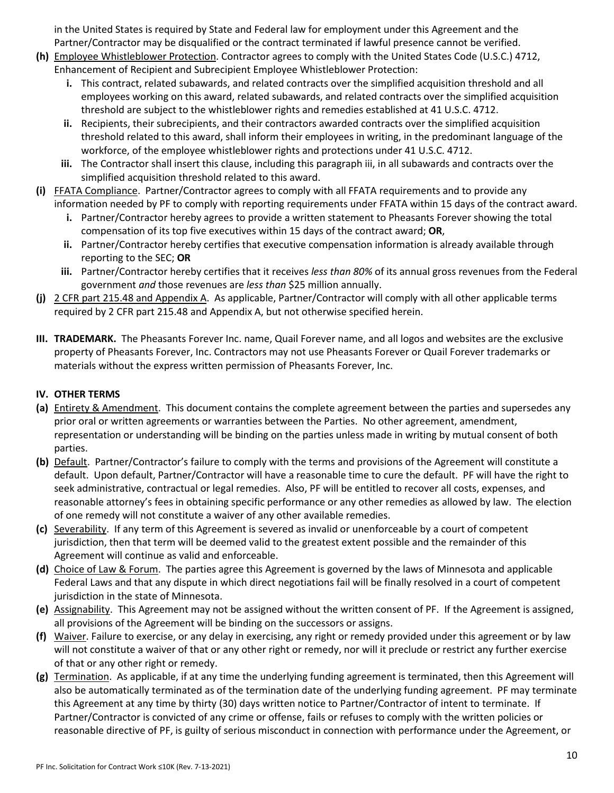in the United States is required by State and Federal law for employment under this Agreement and the Partner/Contractor may be disqualified or the contract terminated if lawful presence cannot be verified.

- **(h)** Employee Whistleblower Protection. Contractor agrees to comply with the United States Code (U.S.C.) 4712, Enhancement of Recipient and Subrecipient Employee Whistleblower Protection:
	- **i.** This contract, related subawards, and related contracts over the simplified acquisition threshold and all employees working on this award, related subawards, and related contracts over the simplified acquisition threshold are subject to the whistleblower rights and remedies established at 41 U.S.C. 4712.
	- **ii.** Recipients, their subrecipients, and their contractors awarded contracts over the simplified acquisition threshold related to this award, shall inform their employees in writing, in the predominant language of the workforce, of the employee whistleblower rights and protections under 41 U.S.C. 4712.
	- **iii.** The Contractor shall insert this clause, including this paragraph iii, in all subawards and contracts over the simplified acquisition threshold related to this award.
- **(i)** FFATA Compliance. Partner/Contractor agrees to comply with all FFATA requirements and to provide any information needed by PF to comply with reporting requirements under FFATA within 15 days of the contract award.
	- **i.** Partner/Contractor hereby agrees to provide a written statement to Pheasants Forever showing the total compensation of its top five executives within 15 days of the contract award; **OR**,
	- **ii.** Partner/Contractor hereby certifies that executive compensation information is already available through reporting to the SEC; **OR**
	- **iii.** Partner/Contractor hereby certifies that it receives *less than 80%* of its annual gross revenues from the Federal government *and* those revenues are *less than* \$25 million annually.
- **(j)** 2 CFR part 215.48 and Appendix A. As applicable, Partner/Contractor will comply with all other applicable terms required by 2 CFR part 215.48 and Appendix A, but not otherwise specified herein.
- **III. TRADEMARK.** The Pheasants Forever Inc. name, Quail Forever name, and all logos and websites are the exclusive property of Pheasants Forever, Inc. Contractors may not use Pheasants Forever or Quail Forever trademarks or materials without the express written permission of Pheasants Forever, Inc.

# **IV. OTHER TERMS**

- **(a)** Entirety & Amendment. This document contains the complete agreement between the parties and supersedes any prior oral or written agreements or warranties between the Parties. No other agreement, amendment, representation or understanding will be binding on the parties unless made in writing by mutual consent of both parties.
- **(b)** Default. Partner/Contractor's failure to comply with the terms and provisions of the Agreement will constitute a default. Upon default, Partner/Contractor will have a reasonable time to cure the default. PF will have the right to seek administrative, contractual or legal remedies. Also, PF will be entitled to recover all costs, expenses, and reasonable attorney's fees in obtaining specific performance or any other remedies as allowed by law. The election of one remedy will not constitute a waiver of any other available remedies.
- **(c)** Severability. If any term of this Agreement is severed as invalid or unenforceable by a court of competent jurisdiction, then that term will be deemed valid to the greatest extent possible and the remainder of this Agreement will continue as valid and enforceable.
- **(d)** Choice of Law & Forum. The parties agree this Agreement is governed by the laws of Minnesota and applicable Federal Laws and that any dispute in which direct negotiations fail will be finally resolved in a court of competent jurisdiction in the state of Minnesota.
- **(e)** Assignability. This Agreement may not be assigned without the written consent of PF. If the Agreement is assigned, all provisions of the Agreement will be binding on the successors or assigns.
- **(f)** Waiver. Failure to exercise, or any delay in exercising, any right or remedy provided under this agreement or by law will not constitute a waiver of that or any other right or remedy, nor will it preclude or restrict any further exercise of that or any other right or remedy.
- **(g)** Termination. As applicable, if at any time the underlying funding agreement is terminated, then this Agreement will also be automatically terminated as of the termination date of the underlying funding agreement. PF may terminate this Agreement at any time by thirty (30) days written notice to Partner/Contractor of intent to terminate. If Partner/Contractor is convicted of any crime or offense, fails or refuses to comply with the written policies or reasonable directive of PF, is guilty of serious misconduct in connection with performance under the Agreement, or